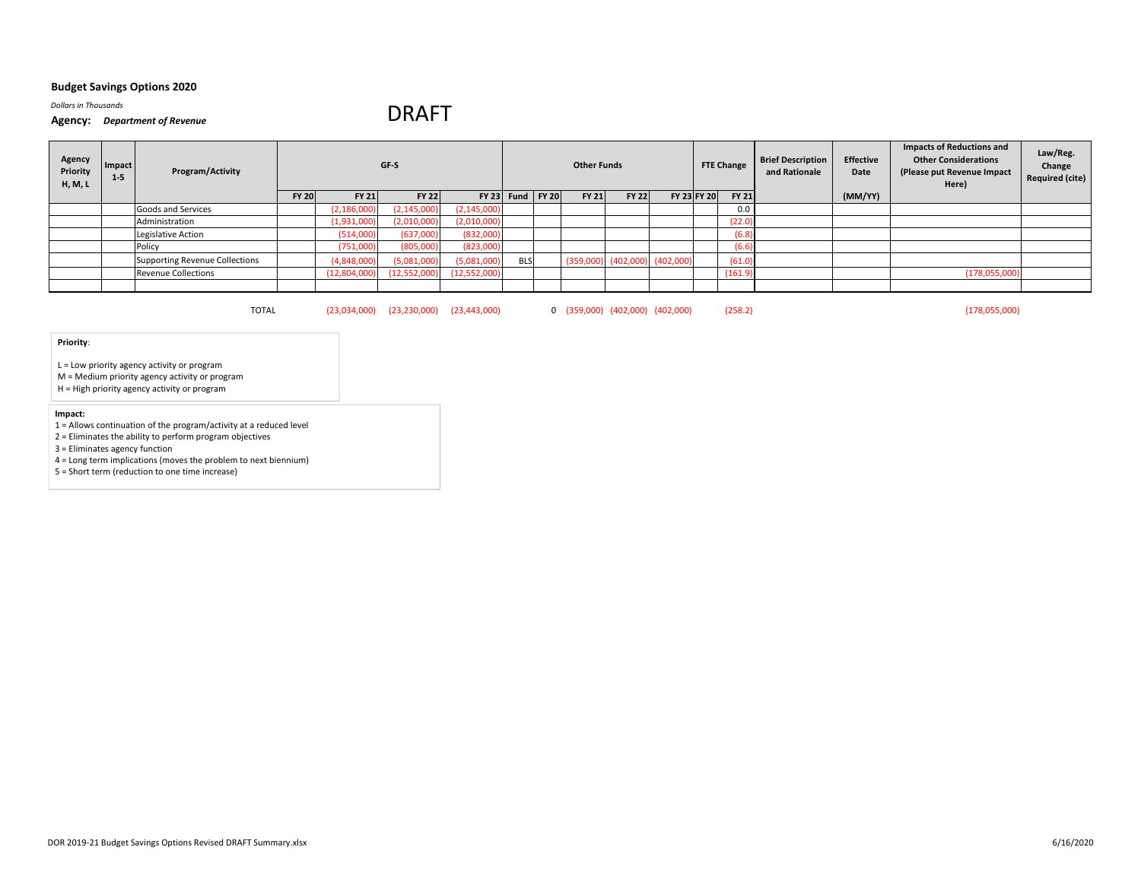*Dollars in Thousands*

#### **Agency:** *Department of Revenue*

# DRAFT

| Agency<br>Priority<br>H, M, L | Impact<br>$1 - 5$ | Program/Activity                      |              |               | GF-S                                         |               |                    | <b>Other Funds</b> |                                     |             | <b>FTE Change</b> | <b>Brief Description</b><br>and Rationale | <b>Effective</b><br>Date | <b>Impacts of Reductions and</b><br><b>Other Considerations</b><br>(Please put Revenue Impact<br>Here) | Law/Reg.<br>Change<br><b>Required (cite)</b> |
|-------------------------------|-------------------|---------------------------------------|--------------|---------------|----------------------------------------------|---------------|--------------------|--------------------|-------------------------------------|-------------|-------------------|-------------------------------------------|--------------------------|--------------------------------------------------------------------------------------------------------|----------------------------------------------|
|                               |                   |                                       | <b>FY 20</b> | <b>FY 21</b>  | <b>FY 22</b>                                 |               | $FY$ 23 Fund FY 20 | <b>FY 21</b>       | <b>FY 22</b>                        | FY 23 FY 20 | <b>FY 21</b>      |                                           | (MM/YY)                  |                                                                                                        |                                              |
|                               |                   | Goods and Services                    |              | (2, 186, 000) | (2, 145, 000)                                | (2, 145, 000) |                    |                    |                                     |             | 0.0               |                                           |                          |                                                                                                        |                                              |
|                               |                   | Administration                        |              | (1,931,000)   | (2,010,000)                                  | (2,010,000)   |                    |                    |                                     |             | (22.0)            |                                           |                          |                                                                                                        |                                              |
|                               |                   | Legislative Action                    |              | (514,000)     | (637,000)                                    | (832,000)     |                    |                    |                                     |             | (6.8)             |                                           |                          |                                                                                                        |                                              |
|                               |                   | Policy                                |              | (751,000)     | (805,000)                                    | (823,000)     |                    |                    |                                     |             | (6.6)             |                                           |                          |                                                                                                        |                                              |
|                               |                   | <b>Supporting Revenue Collections</b> |              | (4,848,000)   | (5,081,000)                                  | (5,081,000)   | <b>BLS</b>         |                    | $(359,000)$ $(402,000)$ $(402,000)$ |             | (61.0)            |                                           |                          |                                                                                                        |                                              |
|                               |                   | <b>Revenue Collections</b>            |              | (12,804,000)  | (12,552,000)                                 | (12,552,000)  |                    |                    |                                     |             | (161.9)           |                                           |                          | (178,055,000)                                                                                          |                                              |
|                               |                   |                                       |              |               |                                              |               |                    |                    |                                     |             |                   |                                           |                          |                                                                                                        |                                              |
|                               |                   | <b>TOTAL</b>                          |              |               | $(23,034,000)$ $(23,230,000)$ $(23,443,000)$ |               |                    |                    | 0 (359,000) (402,000) (402,000)     |             | (258.2)           |                                           |                          | (178,055,000)                                                                                          |                                              |

# **Priority**:

L <sup>=</sup> Low priority agency activity or program

M <sup>=</sup> Medium priority agency activity or program

H <sup>=</sup> High priority agency activity or program

# **Impact:**

1 <sup>=</sup> Allows continuation of the program/activity at <sup>a</sup> reduced level

2 <sup>=</sup> Eliminates the ability to perform program objectives

3 <sup>=</sup> Eliminates agency function

4 <sup>=</sup> Long term implications (moves the problem to next biennium)

5 <sup>=</sup> Short term (reduction to one time increase)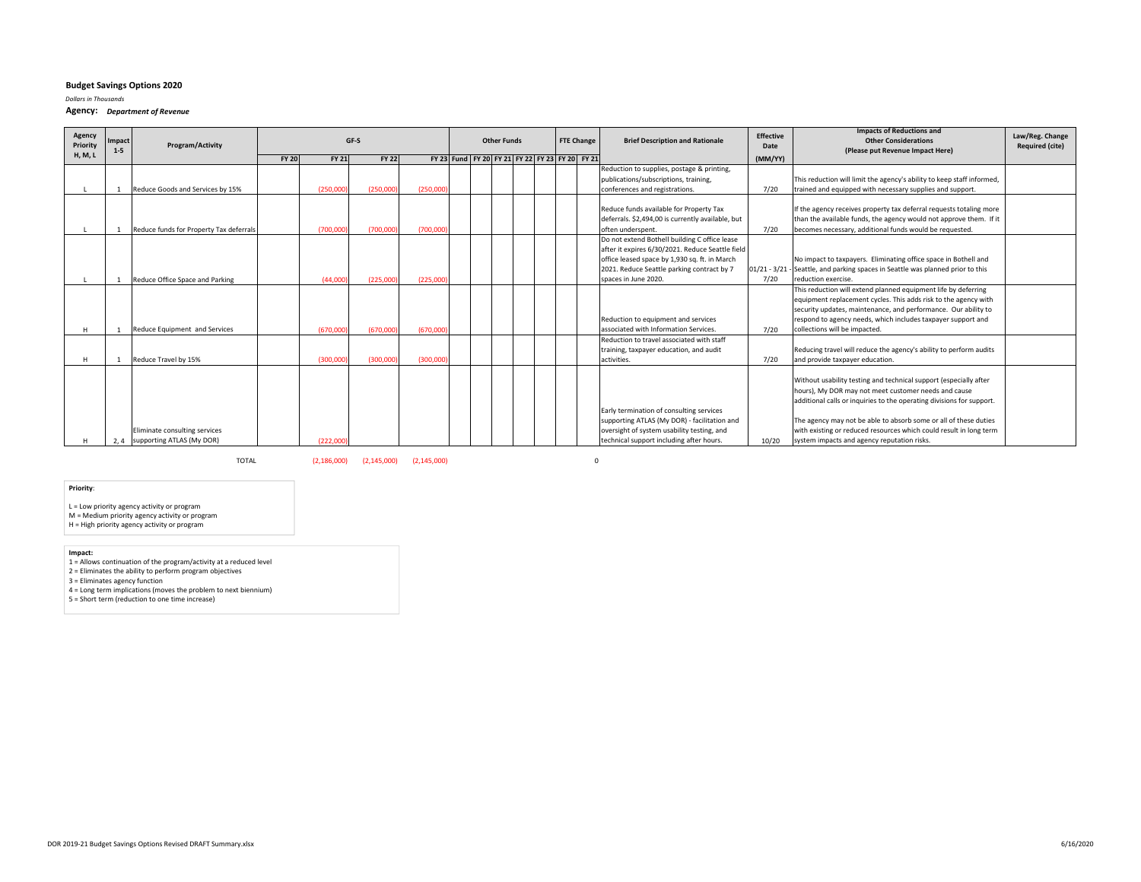*Dollars in Thousands*

**Agency:** *Department of Revenue*

| Agency<br>Priority | <b>Impact</b><br>$1 - 5$ | Program/Activity                        |              |              | GF-S         |          |  | <b>Other Funds</b> |                                                |  | <b>FTE Change</b> | <b>Brief Description and Rationale</b>            | <b>Effective</b><br>Date | <b>Impacts of Reductions and</b><br><b>Other Considerations</b><br>(Please put Revenue Impact Here) | Law/Reg. Change<br><b>Required (cite)</b> |
|--------------------|--------------------------|-----------------------------------------|--------------|--------------|--------------|----------|--|--------------------|------------------------------------------------|--|-------------------|---------------------------------------------------|--------------------------|-----------------------------------------------------------------------------------------------------|-------------------------------------------|
| <b>H, M, L</b>     |                          |                                         | <b>FY 20</b> | <b>FY 21</b> | <b>FY 22</b> |          |  |                    | FY 23 Fund FY 20 FY 21 FY 22 FY 23 FY 20 FY 21 |  |                   |                                                   | (MM/YY)                  |                                                                                                     |                                           |
|                    |                          |                                         |              |              |              |          |  |                    |                                                |  |                   | Reduction to supplies, postage & printing,        |                          |                                                                                                     |                                           |
|                    |                          |                                         |              |              |              |          |  |                    |                                                |  |                   | publications/subscriptions, training,             |                          | This reduction will limit the agency's ability to keep staff informed,                              |                                           |
|                    |                          | Reduce Goods and Services by 15%        |              | (250,000     | (250,000)    | (250,000 |  |                    |                                                |  |                   | conferences and registrations.                    | 7/20                     | trained and equipped with necessary supplies and support.                                           |                                           |
|                    |                          |                                         |              |              |              |          |  |                    |                                                |  |                   | Reduce funds available for Property Tax           |                          | If the agency receives property tax deferral requests totaling more                                 |                                           |
|                    |                          |                                         |              |              |              |          |  |                    |                                                |  |                   | deferrals. \$2,494,00 is currently available, but |                          | than the available funds, the agency would not approve them. If it                                  |                                           |
|                    |                          | Reduce funds for Property Tax deferrals |              | (700,000)    | (700,000)    | (700,000 |  |                    |                                                |  |                   | often underspent.                                 | 7/20                     | becomes necessary, additional funds would be requested.                                             |                                           |
|                    |                          |                                         |              |              |              |          |  |                    |                                                |  |                   | Do not extend Bothell building C office lease     |                          |                                                                                                     |                                           |
|                    |                          |                                         |              |              |              |          |  |                    |                                                |  |                   | after it expires 6/30/2021. Reduce Seattle field  |                          |                                                                                                     |                                           |
|                    |                          |                                         |              |              |              |          |  |                    |                                                |  |                   | office leased space by 1,930 sq. ft. in March     |                          | No impact to taxpayers. Eliminating office space in Bothell and                                     |                                           |
|                    |                          |                                         |              |              |              |          |  |                    |                                                |  |                   | 2021. Reduce Seattle parking contract by 7        |                          | 01/21 - 3/21 - Seattle, and parking spaces in Seattle was planned prior to this                     |                                           |
|                    |                          | Reduce Office Space and Parking         |              | (44,000)     | (225.000)    | (225,000 |  |                    |                                                |  |                   | spaces in June 2020.                              | 7/20                     | reduction exercise.                                                                                 |                                           |
|                    |                          |                                         |              |              |              |          |  |                    |                                                |  |                   |                                                   |                          | This reduction will extend planned equipment life by deferring                                      |                                           |
|                    |                          |                                         |              |              |              |          |  |                    |                                                |  |                   |                                                   |                          | equipment replacement cycles. This adds risk to the agency with                                     |                                           |
|                    |                          |                                         |              |              |              |          |  |                    |                                                |  |                   |                                                   |                          | security updates, maintenance, and performance. Our ability to                                      |                                           |
|                    |                          |                                         |              |              |              |          |  |                    |                                                |  |                   | Reduction to equipment and services               |                          | respond to agency needs, which includes taxpayer support and                                        |                                           |
|                    |                          | Reduce Equipment and Services           |              | (670,000     | (670,000)    | (670,000 |  |                    |                                                |  |                   | associated with Information Services.             | 7/20                     | collections will be impacted.                                                                       |                                           |
|                    |                          |                                         |              |              |              |          |  |                    |                                                |  |                   | Reduction to travel associated with staff         |                          |                                                                                                     |                                           |
|                    |                          |                                         |              |              |              |          |  |                    |                                                |  |                   | training, taxpayer education, and audit           |                          | Reducing travel will reduce the agency's ability to perform audits                                  |                                           |
|                    |                          | Reduce Travel by 15%                    |              | (300,000     | (300,000)    | (300,000 |  |                    |                                                |  |                   | activities.                                       | 7/20                     | and provide taxpayer education.                                                                     |                                           |
|                    |                          |                                         |              |              |              |          |  |                    |                                                |  |                   |                                                   |                          |                                                                                                     |                                           |
|                    |                          |                                         |              |              |              |          |  |                    |                                                |  |                   |                                                   |                          | Without usability testing and technical support (especially after                                   |                                           |
|                    |                          |                                         |              |              |              |          |  |                    |                                                |  |                   |                                                   |                          | hours), My DOR may not meet customer needs and cause                                                |                                           |
|                    |                          |                                         |              |              |              |          |  |                    |                                                |  |                   |                                                   |                          | additional calls or inquiries to the operating divisions for support.                               |                                           |
|                    |                          |                                         |              |              |              |          |  |                    |                                                |  |                   | Early termination of consulting services          |                          |                                                                                                     |                                           |
|                    |                          |                                         |              |              |              |          |  |                    |                                                |  |                   | supporting ATLAS (My DOR) - facilitation and      |                          | The agency may not be able to absorb some or all of these duties                                    |                                           |
|                    |                          | Eliminate consulting services           |              |              |              |          |  |                    |                                                |  |                   | oversight of system usability testing, and        |                          | with existing or reduced resources which could result in long term                                  |                                           |
|                    | 2, 4                     | supporting ATLAS (My DOR)               |              | (222,000)    |              |          |  |                    |                                                |  |                   | technical support including after hours.          | 10/20                    | system impacts and agency reputation risks.                                                         |                                           |

TOTAL

(2,186,000) (2,145,000) (2,145,000) 0

# **Priority**:

L <sup>=</sup> Low priority agency activity or program M <sup>=</sup> Medium priority agency activity or program H <sup>=</sup> High priority agency activity or program

## **Impact:**

1 <sup>=</sup> Allows continuation of the program/activity at <sup>a</sup> reduced level 2 <sup>=</sup> Eliminates the ability to perform program objectives 3 <sup>=</sup> Eliminates agency function

4 <sup>=</sup> Long term implications (moves the problem to next biennium) 5 <sup>=</sup> Short term (reduction to one time increase)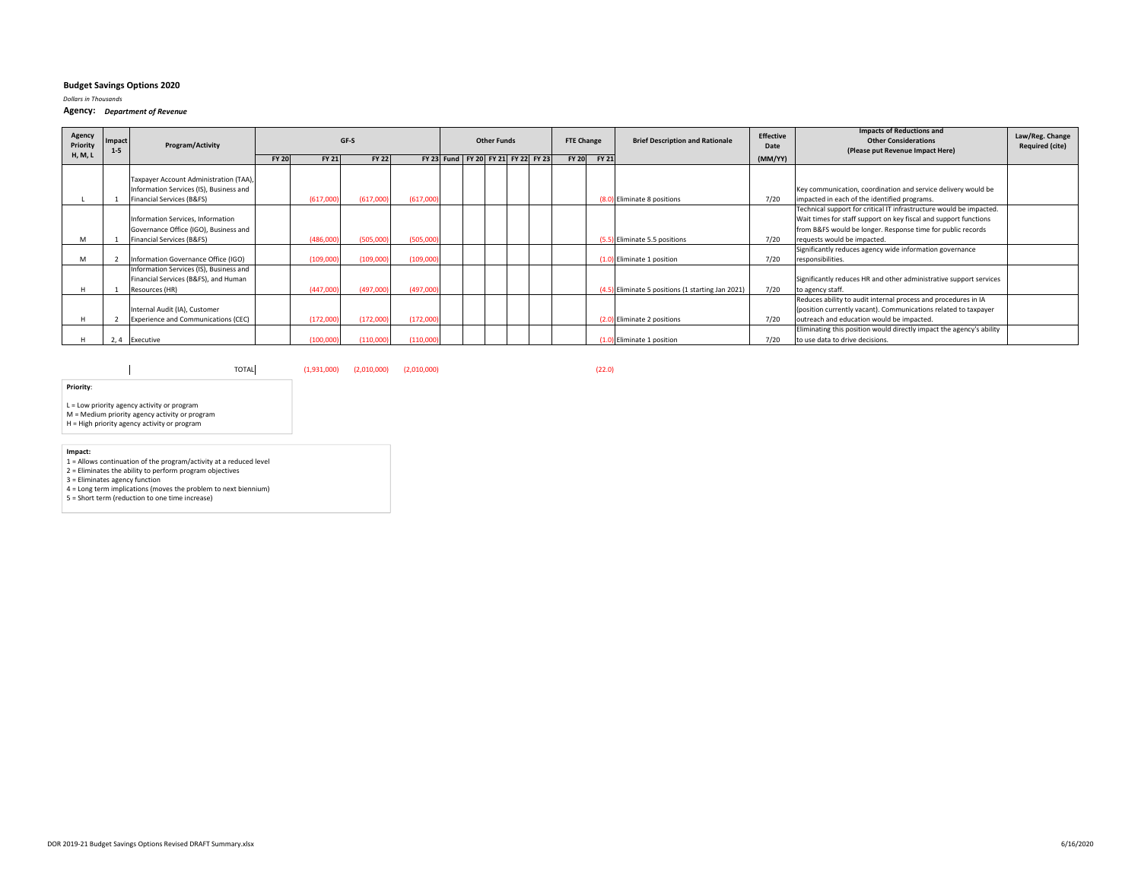#### *Dollars in Thousands*

**Agency:** *Department of Revenue*

| Agency<br>Priority | <b>Impact</b><br>$1 - 5$ | Program/Activity                                                                                               |              |              | GF-S         |           |                                    | <b>Other Funds</b> |  | <b>FTE Change</b> |              | <b>Brief Description and Rationale</b>            | Effective<br>Date | <b>Impacts of Reductions and</b><br><b>Other Considerations</b><br>(Please put Revenue Impact Here)                                                                                                                                   | Law/Reg. Change<br><b>Required (cite)</b> |
|--------------------|--------------------------|----------------------------------------------------------------------------------------------------------------|--------------|--------------|--------------|-----------|------------------------------------|--------------------|--|-------------------|--------------|---------------------------------------------------|-------------------|---------------------------------------------------------------------------------------------------------------------------------------------------------------------------------------------------------------------------------------|-------------------------------------------|
| <b>H, M, L</b>     |                          |                                                                                                                | <b>FY 20</b> | <b>FY 21</b> | <b>FY 22</b> |           | FY 23 Fund FY 20 FY 21 FY 22 FY 23 |                    |  | <b>FY 20</b>      | <b>FY 21</b> |                                                   | (MM/YY)           |                                                                                                                                                                                                                                       |                                           |
|                    |                          | Taxpayer Account Administration (TAA),<br>Information Services (IS), Business and<br>Financial Services (B&FS) |              | (617,000)    | (617,000     | (617,000) |                                    |                    |  |                   |              | (8.0) Eliminate 8 positions                       | 7/20              | Key communication, coordination and service delivery would be<br>impacted in each of the identified programs.                                                                                                                         |                                           |
| M                  |                          | Information Services, Information<br>Governance Office (IGO), Business and<br>Financial Services (B&FS)        |              | (486,000)    | (505,000)    | (505,000) |                                    |                    |  |                   |              | (5.5) Eliminate 5.5 positions                     | 7/20              | Technical support for critical IT infrastructure would be impacted.<br>Wait times for staff support on key fiscal and support functions<br>from B&FS would be longer. Response time for public records<br>requests would be impacted. |                                           |
| м                  |                          | Information Governance Office (IGO)                                                                            |              | (109,000)    | (109,000)    | (109,000) |                                    |                    |  |                   |              | 0) Eliminate 1 position                           | 7/20              | Significantly reduces agency wide information governance<br>responsibilities.                                                                                                                                                         |                                           |
|                    |                          | Information Services (IS), Business and<br>Financial Services (B&FS), and Human<br>Resources (HR)              |              | (447,000)    | (497,000     | (497,000) |                                    |                    |  |                   |              | (4.5) Eliminate 5 positions (1 starting Jan 2021) | 7/20              | Significantly reduces HR and other administrative support services<br>to agency staff.                                                                                                                                                |                                           |
|                    |                          | Internal Audit (IA), Customer<br>Experience and Communications (CEC)                                           |              | (172,000)    | (172,000)    | (172,000) |                                    |                    |  |                   |              | ) Eliminate 2 positions                           | 7/20              | Reduces ability to audit internal process and procedures in IA<br>(position currently vacant). Communications related to taxpayer<br>outreach and education would be impacted.                                                        |                                           |
|                    |                          | 2, 4 Executive                                                                                                 |              | (100, 000)   | (110,000)    | (110,000) |                                    |                    |  |                   |              | D) Eliminate 1 position                           | 7/20              | Eliminating this position would directly impact the agency's ability<br>to use data to drive decisions.                                                                                                                               |                                           |

TOTAL(1,931,000) (2,010,000) (2,010,000) (22.0)

**Priority**:

 $\mathbf{I}$ 

L <sup>=</sup> Low priority agency activity or program M <sup>=</sup> Medium priority agency activity or program

H <sup>=</sup> High priority agency activity or program

**Impact:**<br>1 = Allows continuation of the program/activity at a reduced level<br>2 = Eliminates the ability to perform program objectives

3 <sup>=</sup> Eliminates agency function 4 <sup>=</sup> Long term implications (moves the problem to next biennium) 5 <sup>=</sup> Short term (reduction to one time increase)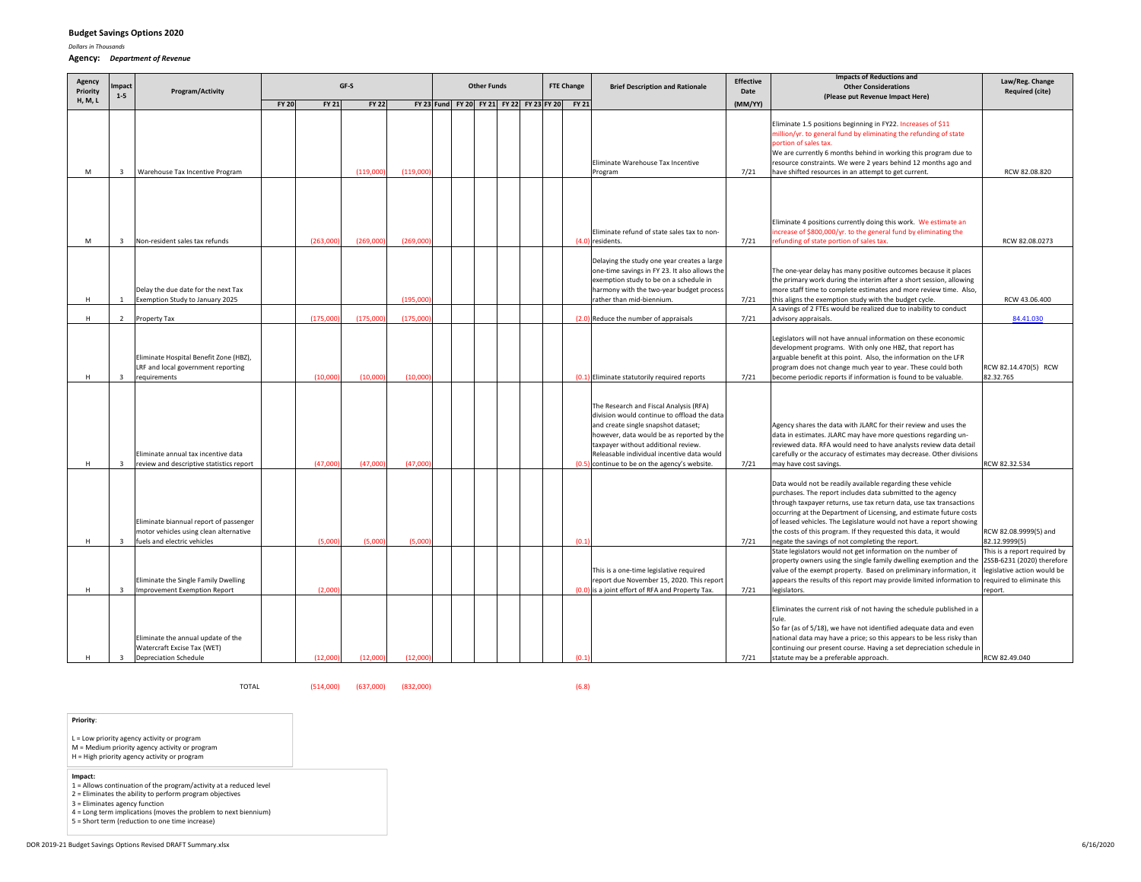*Dollars in Thousands*

#### **Agency:** *Department of Revenue*

| Agency<br>Priority | <b>Impact</b>                                      | Program/Activity                                                                                                                                            |                       | GF-S                | <b>Other Funds</b>  |  | <b>FTE Change</b> | <b>Brief Description and Rationale</b>         | <b>Effective</b><br>Date                                                                                                                                                                                                                                         | <b>Impacts of Reductions and</b><br><b>Other Considerations</b> | Law/Reg. Change<br><b>Required (cite)</b>                                                                                                                                                                                                                                                                                                                                                                                                                                                                                                  |                                                                                                      |
|--------------------|----------------------------------------------------|-------------------------------------------------------------------------------------------------------------------------------------------------------------|-----------------------|---------------------|---------------------|--|-------------------|------------------------------------------------|------------------------------------------------------------------------------------------------------------------------------------------------------------------------------------------------------------------------------------------------------------------|-----------------------------------------------------------------|--------------------------------------------------------------------------------------------------------------------------------------------------------------------------------------------------------------------------------------------------------------------------------------------------------------------------------------------------------------------------------------------------------------------------------------------------------------------------------------------------------------------------------------------|------------------------------------------------------------------------------------------------------|
| H, M, L            | $1 - 5$                                            |                                                                                                                                                             | FY 21<br><b>FY 20</b> | <b>FY 22</b>        |                     |  |                   | FY 23 Fund FY 20 FY 21 FY 22 FY 23 FY 20 FY 21 |                                                                                                                                                                                                                                                                  | (MM/YY)                                                         | (Please put Revenue Impact Here)                                                                                                                                                                                                                                                                                                                                                                                                                                                                                                           |                                                                                                      |
| М                  | $\overline{\mathbf{3}}$                            | Warehouse Tax Incentive Program                                                                                                                             |                       | (119,000)           | (119,000)           |  |                   |                                                | Eliminate Warehouse Tax Incentive<br>Program                                                                                                                                                                                                                     | 7/21                                                            | Eliminate 1.5 positions beginning in FY22. Increases of \$11<br>million/yr. to general fund by eliminating the refunding of state<br>portion of sales tax.<br>We are currently 6 months behind in working this program due to<br>resource constraints. We were 2 years behind 12 months ago and<br>have shifted resources in an attempt to get current.                                                                                                                                                                                    | RCW 82.08.820                                                                                        |
| M                  | $\overline{3}$                                     | Non-resident sales tax refunds                                                                                                                              | (263,000)             | (269,000)           | (269,000)           |  |                   |                                                | Eliminate refund of state sales tax to non-<br>(4.0) residents.                                                                                                                                                                                                  | 7/21                                                            | Eliminate 4 positions currently doing this work. We estimate an<br>increase of \$800,000/yr. to the general fund by eliminating the<br>refunding of state portion of sales tax.                                                                                                                                                                                                                                                                                                                                                            | RCW 82.08.0273                                                                                       |
|                    | $\mathbf{1}$                                       | Delay the due date for the next Tax                                                                                                                         |                       |                     | (195,000)           |  |                   |                                                | Delaying the study one year creates a large<br>one-time savings in FY 23. It also allows the<br>exemption study to be on a schedule in<br>harmony with the two-year budget process                                                                               |                                                                 | The one-year delay has many positive outcomes because it places<br>the primary work during the interim after a short session, allowing<br>more staff time to complete estimates and more review time. Also,                                                                                                                                                                                                                                                                                                                                | RCW 43.06.400                                                                                        |
| H                  |                                                    | Exemption Study to January 2025                                                                                                                             |                       |                     |                     |  |                   |                                                | rather than mid-biennium.                                                                                                                                                                                                                                        | 7/21                                                            | this aligns the exemption study with the budget cycle.<br>A savings of 2 FTEs would be realized due to inability to conduct                                                                                                                                                                                                                                                                                                                                                                                                                |                                                                                                      |
| H                  | $\overline{2}$                                     | Property Tax                                                                                                                                                | (175,000)             | (175,000)           | (175,000)           |  |                   |                                                | (2.0) Reduce the number of appraisals                                                                                                                                                                                                                            | 7/21                                                            | advisory appraisals.                                                                                                                                                                                                                                                                                                                                                                                                                                                                                                                       | 84.41.030                                                                                            |
| н                  | 3                                                  | Eliminate Hospital Benefit Zone (HBZ),<br>LRF and local government reporting<br>requirements                                                                | (10,000)              | (10,000)            | (10,000)            |  |                   |                                                | (0.1) Eliminate statutorily required reports<br>The Research and Fiscal Analysis (RFA)<br>division would continue to offload the data<br>and create single snapshot dataset;<br>however, data would be as reported by the<br>taxpayer without additional review. | 7/21                                                            | Legislators will not have annual information on these economic<br>development programs. With only one HBZ, that report has<br>arguable benefit at this point. Also, the information on the LFR<br>program does not change much year to year. These could both<br>become periodic reports if information is found to be valuable.<br>Agency shares the data with JLARC for their review and uses the<br>data in estimates. JLARC may have more questions regarding un-<br>reviewed data. RFA would need to have analysts review data detail | RCW 82.14.470(5) RCW<br>82.32.765                                                                    |
|                    |                                                    | Eliminate annual tax incentive data                                                                                                                         |                       |                     |                     |  |                   |                                                | Releasable individual incentive data would                                                                                                                                                                                                                       |                                                                 | carefully or the accuracy of estimates may decrease. Other divisions                                                                                                                                                                                                                                                                                                                                                                                                                                                                       |                                                                                                      |
| H<br>H             | $\overline{\mathbf{3}}$<br>$\overline{\mathbf{3}}$ | review and descriptive statistics report<br>Eliminate biannual report of passenger<br>motor vehicles using clean alternative<br>fuels and electric vehicles | (47,000)<br>(5,000)   | (47,000)<br>(5,000) | (47,000)<br>(5,000) |  |                   | (0.1)                                          | (0.5) continue to be on the agency's website.                                                                                                                                                                                                                    | 7/21<br>7/21                                                    | may have cost savings.<br>Data would not be readily available regarding these vehicle<br>purchases. The report includes data submitted to the agency<br>through taxpayer returns, use tax return data, use tax transactions<br>occurring at the Department of Licensing, and estimate future costs<br>of leased vehicles. The Legislature would not have a report showing<br>the costs of this program. If they requested this data, it would<br>negate the savings of not completing the report.                                          | RCW 82.32.534<br>RCW 82.08.9999(5) and<br>82.12.9999(5)                                              |
| H                  | $\overline{\mathbf{3}}$                            | Eliminate the Single Family Dwelling<br>Improvement Exemption Report                                                                                        | (2,000)               |                     |                     |  |                   |                                                | This is a one-time legislative required<br>report due November 15, 2020. This report<br>(0.0) is a joint effort of RFA and Property Tax.                                                                                                                         | 7/21                                                            | State legislators would not get information on the number of<br>property owners using the single family dwelling exemption and the<br>value of the exempt property. Based on preliminary information, it<br>appears the results of this report may provide limited information to required to eliminate this<br>legislators.                                                                                                                                                                                                               | This is a report required by<br>2SSB-6231 (2020) therefore<br>legislative action would be<br>report. |
| H                  | $\overline{\mathbf{3}}$                            | Eliminate the annual update of the<br>Watercraft Excise Tax (WET)<br><b>Depreciation Schedule</b>                                                           | (12,000)              | (12,000)            | (12,000)            |  |                   | (0.1)                                          |                                                                                                                                                                                                                                                                  | 7/21                                                            | Eliminates the current risk of not having the schedule published in a<br>rule.<br>So far (as of 5/18), we have not identified adequate data and even<br>national data may have a price; so this appears to be less risky than<br>continuing our present course. Having a set depreciation schedule in<br>statute may be a preferable approach.                                                                                                                                                                                             | RCW 82.49.040                                                                                        |

TOTAL

(514,000) (637,000) (832,000) (6.8)

**Priority**:

- L <sup>=</sup> Low priority agency activity or program
- M <sup>=</sup> Medium priority agency activity or program H <sup>=</sup> High priority agency activity or program
- 
- 
- **Impact:** 1 <sup>=</sup> Allows continuation of the program/activity at <sup>a</sup> reduced level
- 2 <sup>=</sup> Eliminates the ability to perform program objectives 3 <sup>=</sup> Eliminates agency function
- 4 <sup>=</sup> Long term implications (moves the problem to next biennium)
- 5 <sup>=</sup> Short term (reduction to one time increase)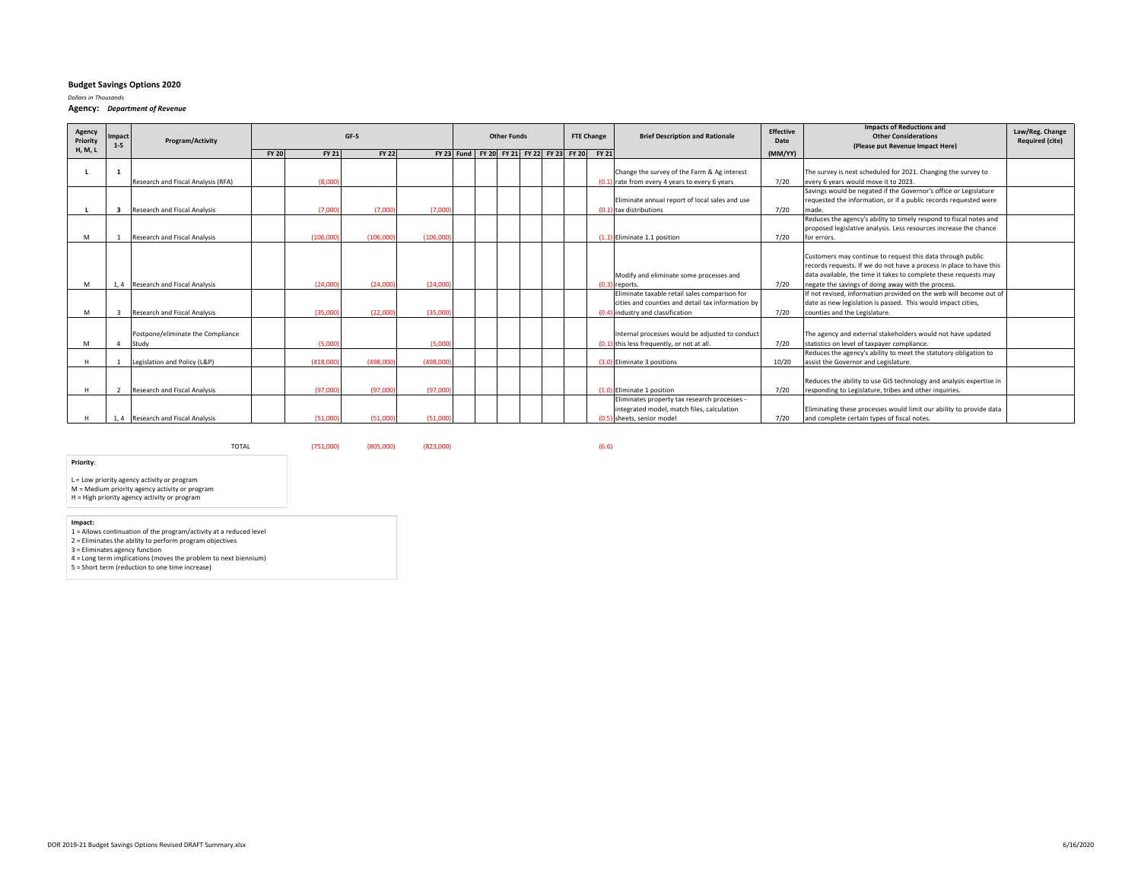*Dollars in Thousands*

**Agency:** *Department of Revenue*

| <b>H, M, L</b><br><b>FY 20</b><br><b>FY 22</b><br>FY 23 Fund FY 20 FY 21 FY 22 FY 23 FY 20 FY 21<br><b>FY 21</b><br>(MM/YY)<br>Change the survey of the Farm & Ag interest<br>7/20<br>(8.000)<br>(0.1) rate from every 4 years to every 6 years<br>every 6 years would move it to 2023.<br>Research and Fiscal Analysis (RFA)<br>Eliminate annual report of local sales and use | <b>Other Considerations</b><br>(Please put Revenue Impact Here)                                                                                                                                       | Law/Reg. Change<br><b>Required (cite)</b> |
|---------------------------------------------------------------------------------------------------------------------------------------------------------------------------------------------------------------------------------------------------------------------------------------------------------------------------------------------------------------------------------|-------------------------------------------------------------------------------------------------------------------------------------------------------------------------------------------------------|-------------------------------------------|
|                                                                                                                                                                                                                                                                                                                                                                                 |                                                                                                                                                                                                       |                                           |
|                                                                                                                                                                                                                                                                                                                                                                                 | The survey is next scheduled for 2021. Changing the survey to                                                                                                                                         |                                           |
|                                                                                                                                                                                                                                                                                                                                                                                 | Savings would be negated if the Governor's office or Legislature                                                                                                                                      |                                           |
| 7/20<br>(7,000)<br>(7.000)<br>(7.000)<br>Research and Fiscal Analysis<br>(0.1)<br>tax distributions<br>3<br>made.                                                                                                                                                                                                                                                               | requested the information, or if a public records requested were                                                                                                                                      |                                           |
|                                                                                                                                                                                                                                                                                                                                                                                 | Reduces the agency's ability to timely respond to fiscal notes and                                                                                                                                    |                                           |
| 7/20<br>(106,000)<br>(106,000)<br>(106.000)<br>M<br>Research and Fiscal Analysis<br>(1.1) Eliminate 1.1 position<br>for errors.                                                                                                                                                                                                                                                 | proposed legislative analysis. Less resources increase the chance                                                                                                                                     |                                           |
|                                                                                                                                                                                                                                                                                                                                                                                 |                                                                                                                                                                                                       |                                           |
| Modify and eliminate some processes and                                                                                                                                                                                                                                                                                                                                         | Customers may continue to request this data through public<br>records requests. If we do not have a process in place to have this<br>data available, the time it takes to complete these requests may |                                           |
| 7/20<br>negate the savings of doing away with the process.<br>1, 4 Research and Fiscal Analysis<br>(24,000)<br>(24.000)<br>(24,000)<br>(0.3)<br>M<br>) reports.                                                                                                                                                                                                                 |                                                                                                                                                                                                       |                                           |
| Eliminate taxable retail sales comparison for<br>cities and counties and detail tax information by<br>7/20<br>(22.000)<br>(35,000<br>counties and the Legislature.<br>M<br>Research and Fiscal Analysis<br>(35,000)<br>(0.4) industry and classification<br>3                                                                                                                   | If not revised, information provided on the web will become out of<br>date as new legislation is passed. This would impact cities,                                                                    |                                           |
| Postpone/eliminate the Compliance<br>Internal processes would be adjusted to conduct<br>7/20<br>(5,000)<br>(5.000)<br>(0.1) this less frequently, or not at all.<br>statistics on level of taxpaver compliance.<br>M<br>Study<br>$\overline{4}$                                                                                                                                 | The agency and external stakeholders would not have updated                                                                                                                                           |                                           |
| (498,000<br>10/20<br>H<br>(418,000)<br>(498,000)<br>assist the Governor and Legislature.<br>Legislation and Policy (L&P)<br>(3.0) Eliminate 3 positions                                                                                                                                                                                                                         | Reduces the agency's ability to meet the statutory obligation to                                                                                                                                      |                                           |
| 7/20<br>(97,000)<br>(97,000)<br>(97,000)<br>H<br>2 Research and Fiscal Analysis<br>(1.0) Eliminate 1 position                                                                                                                                                                                                                                                                   | Reduces the ability to use GIS technology and analysis expertise in<br>responding to Legislature, tribes and other inquiries.                                                                         |                                           |
| Eliminates property tax research processes -<br>integrated model, match files, calculation<br>(51,000)<br>(51,000)<br>7/20<br>and complete certain types of fiscal notes.<br>1, 4 Research and Fiscal Analysis<br>(51,000)<br>(0.5) sheets, senior model                                                                                                                        | Eliminating these processes would limit our ability to provide data                                                                                                                                   |                                           |

**Priority**:

L <sup>=</sup> Low priority agency activity or program M <sup>=</sup> Medium priority agency activity or program H <sup>=</sup> High priority agency activity or program

**Impact:**

TOTAL

1 <sup>=</sup> Allows continuation of the program/activity at <sup>a</sup> reduced level 2 <sup>=</sup> Eliminates the ability to perform program objectives 3 <sup>=</sup> Eliminates agency function 4 <sup>=</sup> Long term implications (moves the problem to next biennium)

5 <sup>=</sup> Short term (reduction to one time increase)

(751,000) (805,000) (823,000) (6.6)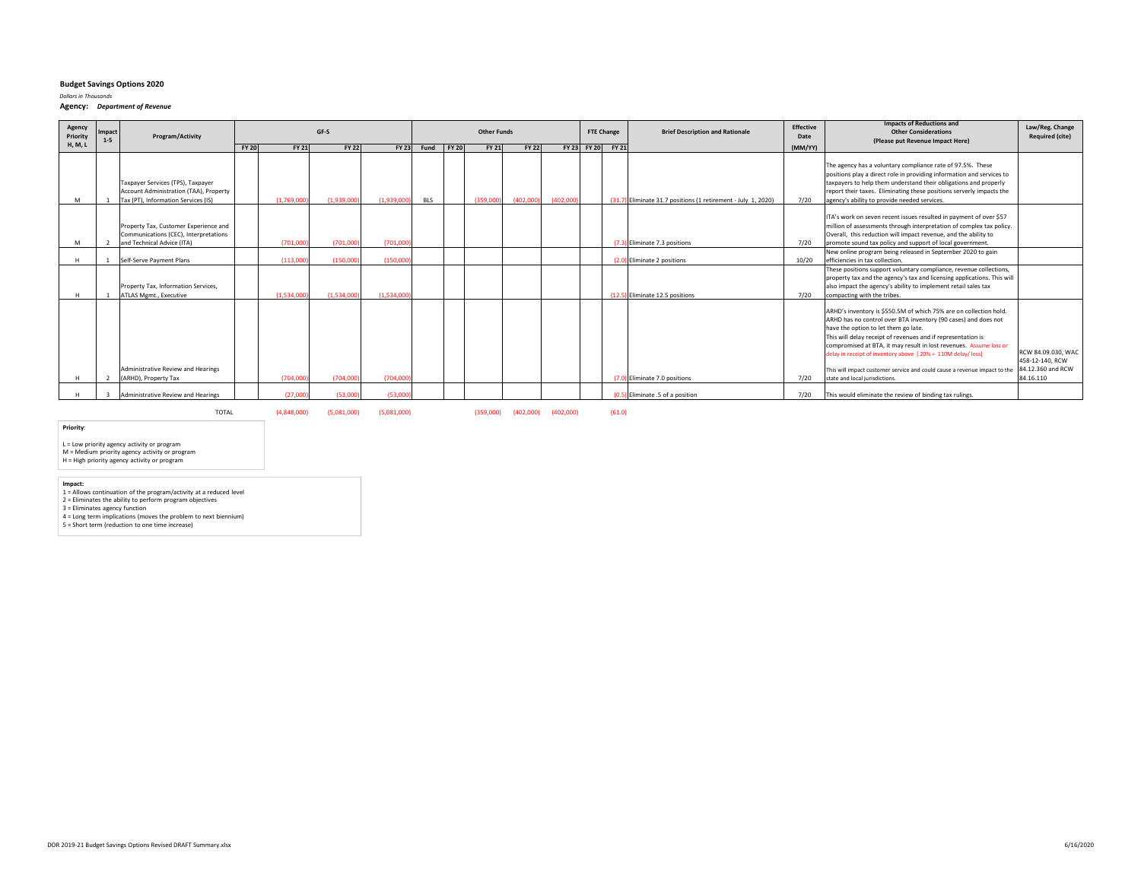*Dollars in Thousands*

**Agency:** *Department of Revenue*

| Agency<br>Priority | Impact<br>$1 - 5$ | Program/Activity                                                                                                   | GF-S         |              |              |             |            |              | <b>Other Funds</b> |              |           | <b>FTE Change</b> |                   | <b>Brief Description and Rationale</b>                        | Effective<br>Date | <b>Impacts of Reductions and</b><br><b>Other Considerations</b><br>(Please put Revenue Impact Here)                                                                                                                                                                                                                                                                                                                                                                                              | Law/Reg. Change<br><b>Required (cite)</b>                               |
|--------------------|-------------------|--------------------------------------------------------------------------------------------------------------------|--------------|--------------|--------------|-------------|------------|--------------|--------------------|--------------|-----------|-------------------|-------------------|---------------------------------------------------------------|-------------------|--------------------------------------------------------------------------------------------------------------------------------------------------------------------------------------------------------------------------------------------------------------------------------------------------------------------------------------------------------------------------------------------------------------------------------------------------------------------------------------------------|-------------------------------------------------------------------------|
| <b>H, M, L</b>     |                   |                                                                                                                    | <b>FY 20</b> | <b>FY 21</b> | <b>FY 22</b> |             | FY 23 Fund | <b>FY 20</b> | <b>FY 21</b>       | <b>FY 22</b> |           |                   | FY 23 FY 20 FY 21 |                                                               | (MM/YY)           |                                                                                                                                                                                                                                                                                                                                                                                                                                                                                                  |                                                                         |
| M                  |                   | Taxpayer Services (TPS), Taxpayer<br>Account Administration (TAA), Property<br>Tax (PT), Information Services (IS) |              | (1,769,000)  | (1,939,000)  | (1,939,000) | BLS        |              | (359,000)          | (402,000)    | (402,000) |                   |                   | (31.7) Eliminate 31.7 positions (1 retirement - July 1, 2020) | 7/20              | The agency has a voluntary compliance rate of 97.5%. These<br>positions play a direct role in providing information and services to<br>taxpayers to help them understand their obligations and properly<br>report their taxes. Eliminating these positions serverly impacts the<br>agency's ability to provide needed services.                                                                                                                                                                  |                                                                         |
| M                  |                   | Property Tax, Customer Experience and<br>Communications (CEC), Interpretations<br>and Technical Advice (ITA)       |              | (701,000     | (701,000     | (701,000    |            |              |                    |              |           |                   |                   | (7.3) Eliminate 7.3 positions                                 | 7/20              | ITA's work on seven recent issues resulted in payment of over \$57<br>million of assessments through interpretation of complex tax policy.<br>Overall, this reduction will impact revenue, and the ability to<br>promote sound tax policy and support of local government.                                                                                                                                                                                                                       |                                                                         |
|                    |                   | Self-Serve Payment Plans                                                                                           |              | (113.000)    | (150,000     | (150,000    |            |              |                    |              |           |                   |                   | (2.0) Eliminate 2 positions                                   | 10/20             | New online program being released in September 2020 to gain<br>efficiencies in tax collection.                                                                                                                                                                                                                                                                                                                                                                                                   |                                                                         |
|                    |                   | Property Tax, Information Services,<br>ATLAS Mgmt., Executive                                                      |              | (1.534.000)  | (1.534.000   | (1.534.000) |            |              |                    |              |           |                   |                   | (12.5) Eliminate 12.5 positions                               | 7/20              | These positions support voluntary compliance, revenue collections,<br>property tax and the agency's tax and licensing applications. This will<br>also impact the agency's ability to implement retail sales tax<br>compacting with the tribes.                                                                                                                                                                                                                                                   |                                                                         |
|                    |                   | Administrative Review and Hearings<br>(ARHD), Property Tax                                                         |              | (704,000)    | (704,000     | (704.000)   |            |              |                    |              |           |                   |                   | (7.0) Eliminate 7.0 positions                                 | 7/20              | ARHD's inventory is \$550.5M of which 75% are on collection hold.<br>ARHD has no control over BTA inventory (90 cases) and does not<br>have the option to let them go late.<br>This will delay receipt of revenues and if representation is<br>compromised at BTA, it may result in lost revenues. Assume loss or<br>delay in receipt of inventory above [20% = 110M delay/ loss]<br>This will impact customer service and could cause a revenue impact to the<br>state and local jurisdictions. | RCW 84.09.030, WAC<br>458-12-140, RCW<br>84.12.360 and RCW<br>84.16.110 |
|                    |                   | Administrative Review and Hearings                                                                                 |              | (27.000)     | (53,000      | (53,000)    |            |              |                    |              |           |                   |                   | (0.5) Eliminate .5 of a position                              | 7/20              | This would eliminate the review of binding tax rulings.                                                                                                                                                                                                                                                                                                                                                                                                                                          |                                                                         |

TOTAL(4,848,000) (5,081,000) (5,081,000) (359,000) (402,000) (402,000) (61.0)

**Priority**:

L <sup>=</sup> Low priority agency activity or program M <sup>=</sup> Medium priority agency activity or program H <sup>=</sup> High priority agency activity or program

Impact:<br>1 = Allows continuation of the program/activity at a reduced level<br>2 = Eliminates the ability to perform program objectives<br>3 = Eliminates agency function<br>4 = Long term implications (moves the problem to next bienn